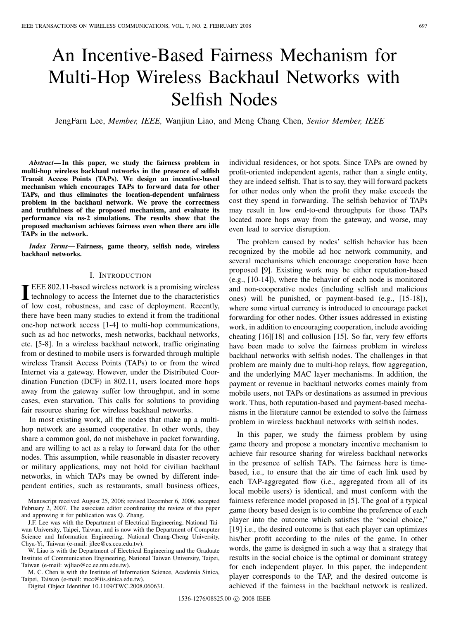# An Incentive-Based Fairness Mechanism for Multi-Hop Wireless Backhaul Networks with Selfish Nodes

JengFarn Lee, *Member, IEEE,* Wanjiun Liao, and Meng Chang Chen, *Senior Member, IEEE*

*Abstract***— In this paper, we study the fairness problem in multi-hop wireless backhaul networks in the presence of selfish Transit Access Points (TAPs). We design an incentive-based mechanism which encourages TAPs to forward data for other TAPs, and thus eliminates the location-dependent unfairness problem in the backhaul network. We prove the correctness and truthfulness of the proposed mechanism, and evaluate its performance via ns-2 simulations. The results show that the proposed mechanism achieves fairness even when there are idle TAPs in the network.**

*Index Terms***— Fairness, game theory, selfish node, wireless backhaul networks.**

## I. INTRODUCTION

**IEEE 802.11-based wireless network is a promising wireless technology to access the Internet due to the characteristics of low cost, robustness, and ease of deployment. Recently,** EEE 802.11-based wireless network is a promising wireless technology to access the Internet due to the characteristics there have been many studies to extend it from the traditional one-hop network access [1-4] to multi-hop communications, such as ad hoc networks, mesh networks, backhaul networks, etc. [5-8]. In a wireless backhaul network, traffic originating from or destined to mobile users is forwarded through multiple wireless Transit Access Points (TAPs) to or from the wired Internet via a gateway. However, under the Distributed Coordination Function (DCF) in 802.11, users located more hops away from the gateway suffer low throughput, and in some cases, even starvation. This calls for solutions to providing fair resource sharing for wireless backhaul networks.

In most existing work, all the nodes that make up a multihop network are assumed cooperative. In other words, they share a common goal, do not misbehave in packet forwarding, and are willing to act as a relay to forward data for the other nodes. This assumption, while reasonable in disaster recovery or military applications, may not hold for civilian backhaul networks, in which TAPs may be owned by different independent entities, such as restaurants, small business offices,

Manuscript received August 25, 2006; revised December 6, 2006; accepted February 2, 2007. The associate editor coordinating the review of this paper and approving it for publication was Q. Zhang.

J.F. Lee was with the Department of Electrical Engineering, National Taiwan University, Taipei, Taiwan, and is now with the Department of Computer Science and Information Engineering, National Chung-Cheng University, Chya-Yi, Taiwan (e-mail: jflee@cs.ccu.edu.tw).

W. Liao is with the Department of Electrical Engineering and the Graduate Institute of Communication Engineering, National Taiwan University, Taipei, Taiwan (e-mail: wjliao@cc.ee.ntu.edu.tw).

M. C. Chen is with the Institute of Information Science, Academia Sinica, Taipei, Taiwan (e-mail: mcc@iis.sinica.edu.tw).

Digital Object Identifier 10.1109/TWC.2008.060631.

individual residences, or hot spots. Since TAPs are owned by profit-oriented independent agents, rather than a single entity, they are indeed selfish. That is to say, they will forward packets for other nodes only when the profit they make exceeds the cost they spend in forwarding. The selfish behavior of TAPs may result in low end-to-end throughputs for those TAPs located more hops away from the gateway, and worse, may even lead to service disruption.

The problem caused by nodes' selfish behavior has been recognized by the mobile ad hoc network community, and several mechanisms which encourage cooperation have been proposed [9]. Existing work may be either reputation-based (e.g., [10-14]), where the behavior of each node is monitored and non-cooperative nodes (including selfish and malicious ones) will be punished, or payment-based (e.g., [15-18]), where some virtual currency is introduced to encourage packet forwarding for other nodes. Other issues addressed in existing work, in addition to encouraging cooperation, include avoiding cheating [16][18] and collusion [15]. So far, very few efforts have been made to solve the fairness problem in wireless backhaul networks with selfish nodes. The challenges in that problem are mainly due to multi-hop relays, flow aggregation, and the underlying MAC layer mechanisms. In addition, the payment or revenue in backhaul networks comes mainly from mobile users, not TAPs or destinations as assumed in previous work. Thus, both reputation-based and payment-based mechanisms in the literature cannot be extended to solve the fairness problem in wireless backhaul networks with selfish nodes.

In this paper, we study the fairness problem by using game theory and propose a monetary incentive mechanism to achieve fair resource sharing for wireless backhaul networks in the presence of selfish TAPs. The fairness here is timebased, i.e., to ensure that the air time of each link used by each TAP-aggregated flow (i.e., aggregated from all of its local mobile users) is identical, and must conform with the fairness reference model proposed in [5]. The goal of a typical game theory based design is to combine the preference of each player into the outcome which satisfies the "social choice," [19] i.e., the desired outcome is that each player can optimizes his/her profit according to the rules of the game. In other words, the game is designed in such a way that a strategy that results in the social choice is the optimal or dominant strategy for each independent player. In this paper, the independent player corresponds to the TAP, and the desired outcome is achieved if the fairness in the backhaul network is realized.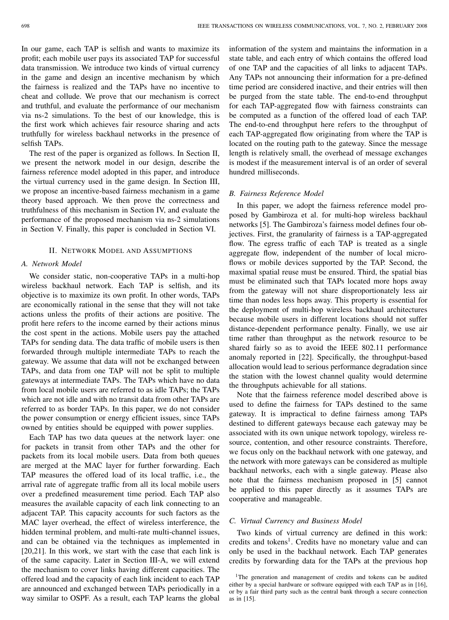In our game, each TAP is selfish and wants to maximize its profit; each mobile user pays its associated TAP for successful data transmission. We introduce two kinds of virtual currency in the game and design an incentive mechanism by which the fairness is realized and the TAPs have no incentive to cheat and collude. We prove that our mechanism is correct and truthful, and evaluate the performance of our mechanism via ns-2 simulations. To the best of our knowledge, this is the first work which achieves fair resource sharing and acts truthfully for wireless backhaul networks in the presence of selfish TAPs.

The rest of the paper is organized as follows. In Section II, we present the network model in our design, describe the fairness reference model adopted in this paper, and introduce the virtual currency used in the game design. In Section III, we propose an incentive-based fairness mechanism in a game theory based approach. We then prove the correctness and truthfulness of this mechanism in Section IV, and evaluate the performance of the proposed mechanism via ns-2 simulations in Section V. Finally, this paper is concluded in Section VI.

#### II. NETWORK MODEL AND ASSUMPTIONS

#### *A. Network Model*

We consider static, non-cooperative TAPs in a multi-hop wireless backhaul network. Each TAP is selfish, and its objective is to maximize its own profit. In other words, TAPs are economically rational in the sense that they will not take actions unless the profits of their actions are positive. The profit here refers to the income earned by their actions minus the cost spent in the actions. Mobile users pay the attached TAPs for sending data. The data traffic of mobile users is then forwarded through multiple intermediate TAPs to reach the gateway. We assume that data will not be exchanged between TAPs, and data from one TAP will not be split to multiple gateways at intermediate TAPs. The TAPs which have no data from local mobile users are referred to as idle TAPs; the TAPs which are not idle and with no transit data from other TAPs are referred to as border TAPs. In this paper, we do not consider the power consumption or energy efficient issues, since TAPs owned by entities should be equipped with power supplies.

Each TAP has two data queues at the network layer: one for packets in transit from other TAPs and the other for packets from its local mobile users. Data from both queues are merged at the MAC layer for further forwarding. Each TAP measures the offered load of its local traffic, i.e., the arrival rate of aggregate traffic from all its local mobile users over a predefined measurement time period. Each TAP also measures the available capacity of each link connecting to an adjacent TAP. This capacity accounts for such factors as the MAC layer overhead, the effect of wireless interference, the hidden terminal problem, and multi-rate multi-channel issues, and can be obtained via the techniques as implemented in [20,21]. In this work, we start with the case that each link is of the same capacity. Later in Section III-A, we will extend the mechanism to cover links having different capacities. The offered load and the capacity of each link incident to each TAP are announced and exchanged between TAPs periodically in a way similar to OSPF. As a result, each TAP learns the global

information of the system and maintains the information in a state table, and each entry of which contains the offered load of one TAP and the capacities of all links to adjacent TAPs. Any TAPs not announcing their information for a pre-defined time period are considered inactive, and their entries will then be purged from the state table. The end-to-end throughput for each TAP-aggregated flow with fairness constraints can be computed as a function of the offered load of each TAP. The end-to-end throughput here refers to the throughput of each TAP-aggregated flow originating from where the TAP is located on the routing path to the gateway. Since the message length is relatively small, the overhead of message exchanges is modest if the measurement interval is of an order of several hundred milliseconds.

## *B. Fairness Reference Model*

In this paper, we adopt the fairness reference model proposed by Gambiroza et al. for multi-hop wireless backhaul networks [5]. The Gambiroza's fairness model defines four objectives. First, the granularity of fairness is a TAP-aggregated flow. The egress traffic of each TAP is treated as a single aggregate flow, independent of the number of local microflows or mobile devices supported by the TAP. Second, the maximal spatial reuse must be ensured. Third, the spatial bias must be eliminated such that TAPs located more hops away from the gateway will not share disproportionately less air time than nodes less hops away. This property is essential for the deployment of multi-hop wireless backhaul architectures because mobile users in different locations should not suffer distance-dependent performance penalty. Finally, we use air time rather than throughput as the network resource to be shared fairly so as to avoid the IEEE 802.11 performance anomaly reported in [22]. Specifically, the throughput-based allocation would lead to serious performance degradation since the station with the lowest channel quality would determine the throughputs achievable for all stations.

Note that the fairness reference model described above is used to define the fairness for TAPs destined to the same gateway. It is impractical to define fairness among TAPs destined to different gateways because each gateway may be associated with its own unique network topology, wireless resource, contention, and other resource constraints. Therefore, we focus only on the backhaul network with one gateway, and the network with more gateways can be considered as multiple backhaul networks, each with a single gateway. Please also note that the fairness mechanism proposed in [5] cannot be applied to this paper directly as it assumes TAPs are cooperative and manageable.

## *C. Virtual Currency and Business Model*

Two kinds of virtual currency are defined in this work: credits and tokens<sup>1</sup>. Credits have no monetary value and can only be used in the backhaul network. Each TAP generates credits by forwarding data for the TAPs at the previous hop

<sup>&</sup>lt;sup>1</sup>The generation and management of credits and tokens can be audited either by a special hardware or software equipped with each TAP as in [16], or by a fair third party such as the central bank through a secure connection as in [15].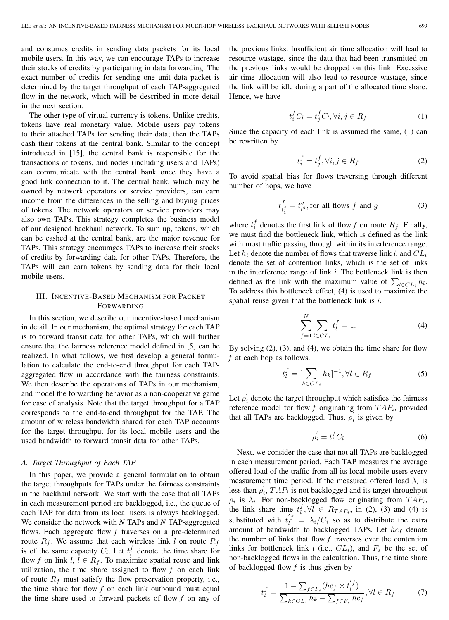and consumes credits in sending data packets for its local mobile users. In this way, we can encourage TAPs to increase their stocks of credits by participating in data forwarding. The exact number of credits for sending one unit data packet is determined by the target throughput of each TAP-aggregated flow in the network, which will be described in more detail in the next section.

The other type of virtual currency is tokens. Unlike credits, tokens have real monetary value. Mobile users pay tokens to their attached TAPs for sending their data; then the TAPs cash their tokens at the central bank. Similar to the concept introduced in [15], the central bank is responsible for the transactions of tokens, and nodes (including users and TAPs) can communicate with the central bank once they have a good link connection to it. The central bank, which may be owned by network operators or service providers, can earn income from the differences in the selling and buying prices of tokens. The network operators or service providers may also own TAPs. This strategy completes the business model of our designed backhaul network. To sum up, tokens, which can be cashed at the central bank, are the major revenue for TAPs. This strategy encourages TAPs to increase their stocks of credits by forwarding data for other TAPs. Therefore, the TAPs will can earn tokens by sending data for their local mobile users.

# III. INCENTIVE-BASED MECHANISM FOR PACKET FORWARDING

In this section, we describe our incentive-based mechanism in detail. In our mechanism, the optimal strategy for each TAP is to forward transit data for other TAPs, which will further ensure that the fairness reference model defined in [5] can be realized. In what follows, we first develop a general formulation to calculate the end-to-end throughput for each TAPaggregated flow in accordance with the fairness constraints. We then describe the operations of TAPs in our mechanism, and model the forwarding behavior as a non-cooperative game for ease of analysis. Note that the target throughput for a TAP corresponds to the end-to-end throughput for the TAP. The amount of wireless bandwidth shared for each TAP accounts for the target throughput for its local mobile users and the used bandwidth to forward transit data for other TAPs.

#### *A. Target Throughput of Each TAP*

In this paper, we provide a general formulation to obtain the target throughputs for TAPs under the fairness constraints in the backhaul network. We start with the case that all TAPs in each measurement period are backlogged, i.e., the queue of each TAP for data from its local users is always backlogged. We consider the network with *N* TAPs and *N* TAP-aggregated flows. Each aggregate flow *f* traverses on a pre-determined route  $R_f$ . We assume that each wireless link *l* on route  $R_f$ is of the same capacity  $C_l$ . Let  $t_l^{\dagger}$  denote the time share for flow f on link  $l, l \in R_s$ . To maximize spatial reuse and link flow *f* on link *l*,  $l \in R_f$ . To maximize spatial reuse and link utilization, the time share assigned to flow  $f$  on each link of route  $R_f$  must satisfy the flow preservation property, i.e., the time share for flow *f* on each link outbound must equal the time share used to forward packets of flow *f* on any of the previous links. Insufficient air time allocation will lead to resource wastage, since the data that had been transmitted on the previous links would be dropped on this link. Excessive air time allocation will also lead to resource wastage, since the link will be idle during a part of the allocated time share. Hence, we have

$$
t_i^f C_l = t_j^f C_l, \forall i, j \in R_f \tag{1}
$$

Since the capacity of each link is assumed the same, (1) can be rewritten by

$$
t_i^f = t_j^f, \forall i, j \in R_f \tag{2}
$$

To avoid spatial bias for flows traversing through different number of hops, we have

$$
t_{l_1^f}^f = t_{l_1^g}^g, \text{for all flows } f \text{ and } g \tag{3}
$$

where  $l_1^{\dagger}$  denotes the first link of flow *f* on route  $R_f$ . Finally, we must find the bottleneck link, which is defined as the link we must find the bottleneck link, which is defined as the link with most traffic passing through within its interference range. Let  $h_i$  denote the number of flows that traverse link *i*, and  $CL_i$ denote the set of contention links, which is the set of links in the interference range of link *i*. The bottleneck link is then defined as the link with the maximum value of  $\sum_{l \in CL_i} h_l$ .<br>To address this bottleneck effect (A) is used to maximize the To address this bottleneck effect, (4) is used to maximize the spatial reuse given that the bottleneck link is *i*.

$$
\sum_{f=1}^{N} \sum_{l \in CL_i} t_l^f = 1.
$$
\n(4)

By solving (2), (3), and (4), we obtain the time share for flow *f* at each hop as follows.

$$
t_l^f = \left[\sum_{k \in CL_i} h_k\right]^{-1}, \forall l \in R_f. \tag{5}
$$

Let  $\rho'_i$  denote the target throughput which satisfies the fairness<br>reference model for flow f originating from  $TAP$ , provided reference model for flow  $f$  originating from  $TAP_i$ , provided that all TAPs are backlogged. Thus,  $\rho'_{i}$  is given by

$$
\rho_i' = t_l^f C_l \tag{6}
$$

Next, we consider the case that not all TAPs are backlogged in each measurement period. Each TAP measures the average offered load of the traffic from all its local mobile users every measurement time period. If the measured offered load  $\lambda_i$  is less than  $\rho'_i$ ,  $TAP_i$  is not backlogged and its target throughput  $\rho_i$  is  $\lambda_i$ . For non-backlogged flow originating from  $TAP_i$ ,<br>the link share time  $t^f \forall l \in R_{T,D}$  in (2) (3) and (4) is the link share time  $t_l^f$ ,  $\forall l \in R_{TAP_i}$ , in (2), (3) and (4) is<br>substituted with  $t_l^f$ ,  $\rightarrow$  /*C*, so so to distribute the sytes substituted with  $t_l^{f} = \lambda_i / C_i$  so as to distribute the extra<br>amount of bandwidth to backlogged TAPs. Let be denote amount of bandwidth to backlogged TAPs. Let  $hc_f$  denote the number of links that flow *f* traverses over the contention links for bottleneck link  $i$  (i.e.,  $CL_i$ ), and  $F_s$  be the set of non-backlogged flows in the calculation. Thus, the time share of backlogged flow *f* is thus given by

$$
t_l^f = \frac{1 - \sum_{f \in F_s} (hc_f \times t_l^{'}f)}{\sum_{k \in CL_i} h_k - \sum_{f \in F_s} hc_f}, \forall l \in R_f \tag{7}
$$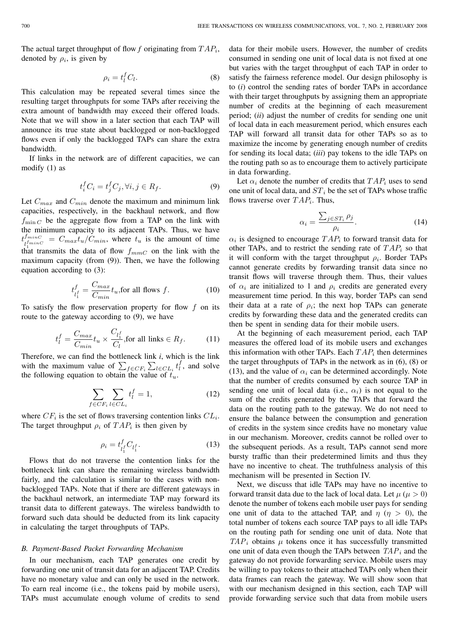The actual target throughput of flow  $f$  originating from  $TAP_i$ , denoted by  $\rho_i$ , is given by

$$
\rho_i = t_l^f C_l. \tag{8}
$$

This calculation may be repeated several times since the resulting target throughputs for some TAPs after receiving the extra amount of bandwidth may exceed their offered loads. Note that we will show in a later section that each TAP will announce its true state about backlogged or non-backlogged flows even if only the backlogged TAPs can share the extra bandwidth.

If links in the network are of different capacities, we can modify (1) as

$$
t_i^f C_i = t_j^f C_j, \forall i, j \in R_f.
$$
\n<sup>(9)</sup>

Let  $C_{max}$  and  $C_{min}$  denote the maximum and minimum link capacities, respectively, in the backhaul network, and flow  $f_{\text{min }C}$  be the aggregate flow from a TAP on the link with the minimum capacity to its adjacent TAPs. Thus, we have  $t^{I_{minC}}_{I^{I_{minC}}} = C_{max} t_u / C_{min}$ , where  $t_u$  is the amount of time  $\int_{\text{that}}^{\text{t}_1}$  transmits the data of flow  $f_{mmC}$  on the link with the maximum canacity (from (9)). Then we have the following maximum capacity (from (9)). Then, we have the following equation according to (3):

$$
t_{l_1^f}^f = \frac{C_{max}}{C_{min}} t_u, \text{for all flows } f.
$$
 (10)

To satisfy the flow preservation property for flow f on its<br>route to the gateway according to (9), we have route to the gateway according to (9), we have

$$
t_l^f = \frac{C_{max}}{C_{min}} t_u \times \frac{C_{l_1^f}}{C_l}, \text{for all links } \in R_f. \tag{11}
$$

Therefore, we can find the bottleneck link *i*, which is the link with the maximum value of  $\sum_{f \in CF_i} \sum_{l \in CL_i} t_l^f$ , and solve the following equation to obtain the value of  $t$ the following equation to obtain the value of  $t_u$ .

$$
\sum_{f \in CF_i} \sum_{l \in CL_i} t_l^f = 1,\tag{12}
$$

where  $CF_i$  is the set of flows traversing contention links  $CL_i$ . The target throughput  $\rho_i$  of  $TAP_i$  is then given by

$$
\rho_i = t_{l_1^f}^f C_{l_1^f}.
$$
\n(13)

Flows that do not traverse the contention links for the bottleneck link can share the remaining wireless bandwidth fairly, and the calculation is similar to the cases with nonbacklogged TAPs. Note that if there are different gateways in the backhaul network, an intermediate TAP may forward its transit data to different gateways. The wireless bandwidth to forward such data should be deducted from its link capacity in calculating the target throughputs of TAPs.

#### *B. Payment-Based Packet Forwarding Mechanism*

In our mechanism, each TAP generates one credit by forwarding one unit of transit data for an adjacent TAP. Credits have no monetary value and can only be used in the network. To earn real income (i.e., the tokens paid by mobile users), TAPs must accumulate enough volume of credits to send data for their mobile users. However, the number of credits consumed in sending one unit of local data is not fixed at one but varies with the target throughput of each TAP in order to satisfy the fairness reference model. Our design philosophy is to (*i*) control the sending rates of border TAPs in accordance with their target throughputs by assigning them an appropriate number of credits at the beginning of each measurement period; (*ii*) adjust the number of credits for sending one unit of local data in each measurement period, which ensures each TAP will forward all transit data for other TAPs so as to maximize the income by generating enough number of credits for sending its local data; (*iii*) pay tokens to the idle TAPs on the routing path so as to encourage them to actively participate in data forwarding.

Let  $\alpha_i$  denote the number of credits that  $TAP_i$  uses to send one unit of local data, and  $ST_i$  be the set of TAPs whose traffic flows traverse over  $TAP_i$ . Thus,

$$
\alpha_i = \frac{\sum_{j \in ST_i} \rho_j}{\rho_i}.
$$
\n(14)

 $\alpha_i$  is designed to encourage  $TAP_i$  to forward transit data for other TAPs and to restrict the sending rate of  $TAP_i$  so that other TAPs, and to restrict the sending rate of  $TAP_i$  so that it will conform with the target throughput  $\rho_i$ . Border TAPs cannot generate credits by forwarding transit data since no transit flows will traverse through them. Thus, their values of  $\alpha_i$  are initialized to 1 and  $\rho_i$  credits are generated every measurement time period. In this way, border TAPs can send their data at a rate of  $\rho_i$ ; the next hop TAPs can generate credits by forwarding these data and the generated credits can then be spent in sending data for their mobile users.

At the beginning of each measurement period, each TAP measures the offered load of its mobile users and exchanges this information with other TAPs. Each  $TAP_i$  then determines the target throughputs of TAPs in the network as in (6), (8) or (13), and the value of  $\alpha_i$  can be determined accordingly. Note that the number of credits consumed by each source TAP in sending one unit of local data (i.e.,  $\alpha_i$ ) is not equal to the sum of the credits generated by the TAPs that forward the data on the routing path to the gateway. We do not need to ensure the balance between the consumption and generation of credits in the system since credits have no monetary value in our mechanism. Moreover, credits cannot be rolled over to the subsequent periods. As a result, TAPs cannot send more bursty traffic than their predetermined limits and thus they have no incentive to cheat. The truthfulness analysis of this mechanism will be presented in Section IV.

Next, we discuss that idle TAPs may have no incentive to forward transit data due to the lack of local data. Let  $\mu$  ( $\mu > 0$ ) denote the number of tokens each mobile user pays for sending one unit of data to the attached TAP, and  $\eta$  ( $\eta > 0$ ), the total number of tokens each source TAP pays to all idle TAPs on the routing path for sending one unit of data. Note that  $TAP_i$  obtains  $\mu$  tokens once it has successfully transmitted one unit of data even though the TAPs between  $TAP_i$  and the gateway do not provide forwarding service. Mobile users may be willing to pay tokens to their attached TAPs only when their data frames can reach the gateway. We will show soon that with our mechanism designed in this section, each TAP will provide forwarding service such that data from mobile users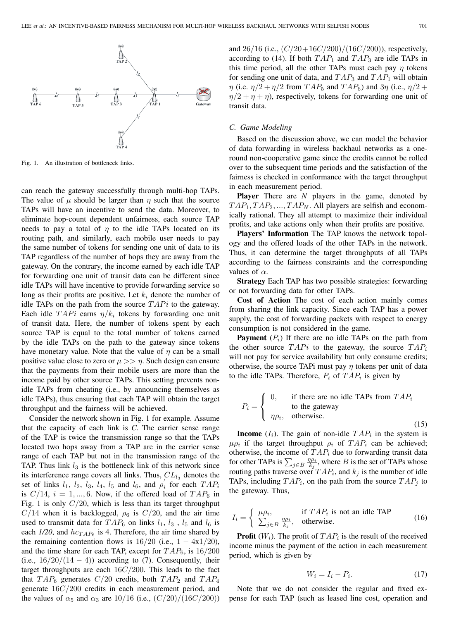

Fig. 1. An illustration of bottleneck links.

can reach the gateway successfully through multi-hop TAPs. The value of  $\mu$  should be larger than  $\eta$  such that the source TAPs will have an incentive to send the data. Moreover, to eliminate hop-count dependent unfairness, each source TAP needs to pay a total of  $\eta$  to the idle TAPs located on its routing path, and similarly, each mobile user needs to pay the same number of tokens for sending one unit of data to its TAP regardless of the number of hops they are away from the gateway. On the contrary, the income earned by each idle TAP for forwarding one unit of transit data can be different since idle TAPs will have incentive to provide forwarding service so long as their profits are positive. Let  $k_i$  denote the number of idle TAPs on the path from the source  $TAPi$  to the gateway. Each idle  $TAPi$  earns  $\eta/k_i$  tokens by forwarding one unit of transit data. Here, the number of tokens spent by each source TAP is equal to the total number of tokens earned by the idle TAPs on the path to the gateway since tokens have monetary value. Note that the value of  $\eta$  can be a small positive value close to zero or  $\mu >> \eta$ . Such design can ensure that the payments from their mobile users are more than the income paid by other source TAPs. This setting prevents nonidle TAPs from cheating (i.e., by announcing themselves as idle TAPs), thus ensuring that each TAP will obtain the target throughput and the fairness will be achieved.

Consider the network shown in Fig. 1 for example. Assume that the capacity of each link is *C*. The carrier sense range of the TAP is twice the transmission range so that the TAPs located two hops away from a TAP are in the carrier sense range of each TAP but not in the transmission range of the TAP. Thus link  $l_3$  is the bottleneck link of this network since its interference range covers all links. Thus,  $CL_{l_3}$  denotes the set of links  $l_1$ ,  $l_2$ ,  $l_3$ ,  $l_4$ ,  $l_5$  and  $l_6$ , and  $\rho'_i$  for each  $TAP_i$ <br>is  $C/14$ ,  $i = 1$ ,  $6$ . Now, if the offered load of  $TAP_i$ , in is  $C/14$ ,  $i = 1, ..., 6$ . Now, if the offered load of  $TAP_6$  in Fig. 1 is only  $C/20$ , which is less than its target throughput  $C/14$  when it is backlogged,  $\rho_6$  is  $C/20$ , and the air time used to transmit data for  $TAP_6$  on links  $l_1$ ,  $l_3$ ,  $l_5$  and  $l_6$  is each  $1/20$ , and  $hc_{TAP_6}$  is 4. Therefore, the air time shared by the remaining contention flows is  $16/20$  (i.e.,  $1 - 4x1/20$ ), and the time share for each TAP, except for  $TAP_6$ , is  $16/200$ (i.e.,  $\frac{16}{20}$ (14 − 4)) according to (7). Consequently, their target throughputs are each  $16C/200$ . This leads to the fact that  $TAP_6$  generates  $C/20$  credits, both  $TAP_2$  and  $TAP_4$ generate <sup>16</sup>C/<sup>200</sup> credits in each measurement period, and the values of  $\alpha_5$  and  $\alpha_3$  are 10/16 (i.e.,  $(C/20)/(16C/200)$ ) and 26/16 (i.e.,  $(C/20+16C/200)/(16C/200)$ ), respectively, according to (14). If both  $TAP_1$  and  $TAP_3$  are idle TAPs in this time period, all the other TAPs must each pay  $\eta$  tokens for sending one unit of data, and  $TAP_3$  and  $TAP_1$  will obtain  $\eta$  (i.e.  $\eta/2 + \eta/2$  from  $TAP_5$  and  $TAP_6$ ) and  $3\eta$  (i.e.,  $\eta/2 +$  $\eta/2 + \eta + \eta$ , respectively, tokens for forwarding one unit of transit data.

#### *C. Game Modeling*

Based on the discussion above, we can model the behavior of data forwarding in wireless backhaul networks as a oneround non-cooperative game since the credits cannot be rolled over to the subsequent time periods and the satisfaction of the fairness is checked in conformance with the target throughput in each measurement period.

**Player** There are *N* players in the game, denoted by  $TAP_1, TAP_2, ..., TAP_N$ . All players are selfish and economically rational. They all attempt to maximize their individual profits, and take actions only when their profits are positive.

**Players' Information** The TAP knows the network topology and the offered loads of the other TAPs in the network. Thus, it can determine the target throughputs of all TAPs according to the fairness constraints and the corresponding values of  $\alpha$ .

**Strategy** Each TAP has two possible strategies: forwarding or not forwarding data for other TAPs.

**Cost of Action** The cost of each action mainly comes from sharing the link capacity. Since each TAP has a power supply, the cost of forwarding packets with respect to energy consumption is not considered in the game.

**Payment**  $(P_i)$  If there are no idle TAPs on the path from the other source  $TAPi$  to the gateway, the source  $TAP_i$ will not pay for service availability but only consume credits; otherwise, the source TAPi must pay  $\eta$  tokens per unit of data to the idle TAPs. Therefore,  $P_i$  of  $TAP_i$  is given by

$$
P_i = \begin{cases} 0, & \text{if there are no idle TAPs from } TAP_i \\ \text{to the gateway} \\ \eta \rho_i, & \text{otherwise.} \end{cases} \tag{15}
$$

**Income**  $(I_i)$ . The gain of non-idle  $TAP_i$  in the system is  $\mu \rho_i$  if the target throughput  $\rho_i$  of  $TAP_i$  can be achieved; otherwise, the income of  $TAP_i$  due to forwarding transit data for other TAPs is  $\sum_{j \in B} \frac{\eta p_i}{k_j}$ , where B is the set of TAPs whose<br>routing paths traverse over  $TAP$ , and k, is the number of idle routing paths traverse over  $TAP_i$ , and  $k_j$  is the number of idle<br>TAPs, including  $TAP_i$ , on the nath from the source  $TAP_i$ , to TAPs, including  $TAP_i$ , on the path from the source  $TAP_i$  to the gateway. Thus,

$$
I_i = \begin{cases} \mu \rho_i, & \text{if } TAP_i \text{ is not an idle TAP} \\ \sum_{j \in B} \frac{\eta \rho_i}{k_j}, & \text{otherwise.} \end{cases}
$$
 (16)

**Profit**  $(W_i)$ . The profit of  $TAP_i$  is the result of the received income minus the payment of the action in each measurement period, which is given by

$$
W_i = I_i - P_i. \tag{17}
$$

Note that we do not consider the regular and fixed expense for each TAP (such as leased line cost, operation and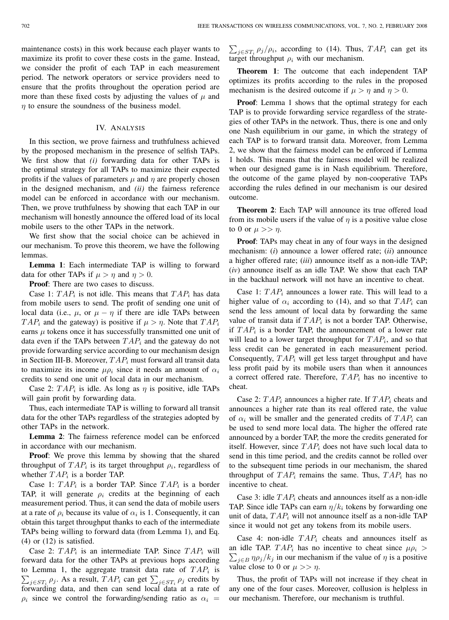maintenance costs) in this work because each player wants to maximize its profit to cover these costs in the game. Instead, we consider the profit of each TAP in each measurement period. The network operators or service providers need to ensure that the profits throughout the operation period are more than these fixed costs by adjusting the values of  $\mu$  and  $\eta$  to ensure the soundness of the business model.

## IV. ANALYSIS

In this section, we prove fairness and truthfulness achieved by the proposed mechanism in the presence of selfish TAPs. We first show that *(i)* forwarding data for other TAPs is the optimal strategy for all TAPs to maximize their expected profits if the values of parameters  $\mu$  and  $\eta$  are properly chosen in the designed mechanism, and *(ii)* the fairness reference model can be enforced in accordance with our mechanism. Then, we prove truthfulness by showing that each TAP in our mechanism will honestly announce the offered load of its local mobile users to the other TAPs in the network.

We first show that the social choice can be achieved in our mechanism. To prove this theorem, we have the following lemmas.

**Lemma 1**: Each intermediate TAP is willing to forward data for other TAPs if  $\mu > \eta$  and  $\eta > 0$ .

**Proof:** There are two cases to discuss.

Case 1:  $TAP_i$  is not idle. This means that  $TAP_i$  has data from mobile users to send. The profit of sending one unit of local data (i.e.,  $\mu$ , or  $\mu - \eta$  if there are idle TAPs between  $TAP_i$  and the gateway) is positive if  $\mu > \eta$ . Note that  $TAP_i$ earns  $\mu$  tokens once it has successfully transmitted one unit of data even if the TAPs between  $TAP_i$  and the gateway do not provide forwarding service according to our mechanism design in Section III-B. Moreover,  $TAP_i$  must forward all transit data to maximize its income  $\mu \rho_i$  since it needs an amount of  $\alpha_i$ credits to send one unit of local data in our mechanism.

Case 2:  $TAP_i$  is idle. As long as  $\eta$  is positive, idle TAPs will gain profit by forwarding data.

Thus, each intermediate TAP is willing to forward all transit data for the other TAPs regardless of the strategies adopted by other TAPs in the network.

**Lemma 2**: The fairness reference model can be enforced in accordance with our mechanism.

**Proof**: We prove this lemma by showing that the shared throughput of  $TAP_i$  is its target throughput  $\rho_i$ , regardless of whether  $TAP_i$  is a border TAP.

Case 1:  $TAP_i$  is a border TAP. Since  $TAP_i$  is a border TAP, it will generate  $\rho_i$  credits at the beginning of each measurement period. Thus, it can send the data of mobile users at a rate of  $\rho_i$  because its value of  $\alpha_i$  is 1. Consequently, it can obtain this target throughput thanks to each of the intermediate TAPs being willing to forward data (from Lemma 1), and Eq.  $(4)$  or  $(12)$  is satisfied.

Case 2:  $TAP_i$  is an intermediate TAP. Since  $TAP_i$  will forward data for the other TAPs at previous hops according to Lemma 1, the aggregate transit data rate of  $TAP_i$  is<br>  $\sum_{n=0}^{\infty}$  as a result  $TAP_i$  can get  $\sum_{n=0}^{\infty}$  or credits by  $\sum_{j \in ST_i} \rho_j$ . As a result,  $TAP_i$  can get  $\sum_{j \in ST_i} \rho_j$  credits by forwarding data and then can send local data at a rate of forwarding data, and then can send local data at a rate of  $\rho_i$  since we control the forwarding/sending ratio as  $\alpha_i$  =

 $\sum_{j \in ST_i} \rho_j / \rho_i$ , according to (14). Thus,  $TAP_i$  can get its trace throughput  $\rho_i$  with our mechanism target throughput  $\rho_i$  with our mechanism.

**Theorem 1**: The outcome that each independent TAP optimizes its profits according to the rules in the proposed mechanism is the desired outcome if  $\mu > \eta$  and  $\eta > 0$ .

**Proof**: Lemma 1 shows that the optimal strategy for each TAP is to provide forwarding service regardless of the strategies of other TAPs in the network. Thus, there is one and only one Nash equilibrium in our game, in which the strategy of each TAP is to forward transit data. Moreover, from Lemma 2, we show that the fairness model can be enforced if Lemma 1 holds. This means that the fairness model will be realized when our designed game is in Nash equilibrium. Therefore, the outcome of the game played by non-cooperative TAPs according the rules defined in our mechanism is our desired outcome.

**Theorem 2**: Each TAP will announce its true offered load from its mobile users if the value of  $\eta$  is a positive value close to 0 or  $\mu >> \eta$ .

**Proof**: TAPs may cheat in any of four ways in the designed mechanism: (*i*) announce a lower offered rate; (*ii*) announce a higher offered rate; (*iii*) announce itself as a non-idle TAP; (*iv*) announce itself as an idle TAP. We show that each TAP in the backhaul network will not have an incentive to cheat.

Case 1:  $TAP_i$  announces a lower rate. This will lead to a higher value of  $\alpha_i$  according to (14), and so that  $TAP_i$  can send the less amount of local data by forwarding the same value of transit data if  $TAP_i$  is not a border TAP. Otherwise, if  $TAP_i$  is a border TAP, the announcement of a lower rate will lead to a lower target throughput for  $TAP_i$ , and so that less credit can be generated in each measurement period. Consequently,  $TAP_i$  will get less target throughput and have less profit paid by its mobile users than when it announces a correct offered rate. Therefore,  $TAP_i$  has no incentive to cheat.

Case 2:  $TAP_i$  announces a higher rate. If  $TAP_i$  cheats and announces a higher rate than its real offered rate, the value of  $\alpha_i$  will be smaller and the generated credits of  $TAP_i$  can be used to send more local data. The higher the offered rate announced by a border TAP, the more the credits generated for itself. However, since  $TAP_i$  does not have such local data to send in this time period, and the credits cannot be rolled over to the subsequent time periods in our mechanism, the shared throughput of  $TAP_i$  remains the same. Thus,  $TAP_i$  has no incentive to cheat.

Case 3: idle  $TAP_i$  cheats and announces itself as a non-idle TAP. Since idle TAPs can earn  $\eta/k_i$  tokens by forwarding one unit of data,  $TAP_i$  will not announce itself as a non-idle TAP since it would not get any tokens from its mobile users.

Case 4: non-idle  $TAP_i$  cheats and announces itself as an idle TAP.  $TAP_i$  has no incentive to cheat since  $\mu \rho_i > \sum_{n=1}^{\infty} n \rho_i / k$ , in our mechanism if the value of *n* is a positive  $\sum_{j \in B} \eta \rho_j / k_j$  in our mechanism if the value of  $\eta$  is a positive value close to 0 or  $\mu \gg n$ value close to 0 or  $\mu >> \eta$ .

Thus, the profit of TAPs will not increase if they cheat in any one of the four cases. Moreover, collusion is helpless in our mechanism. Therefore, our mechanism is truthful.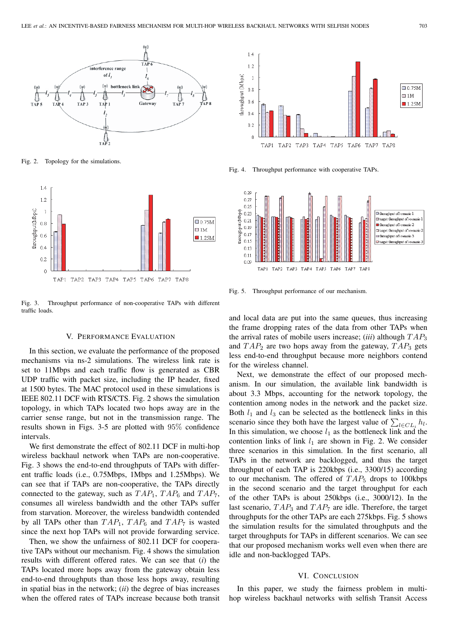

Fig. 2. Topology for the simulations.



Fig. 3. Throughput performance of non-cooperative TAPs with different traffic loads.

#### V. PERFORMANCE EVALUATION

In this section, we evaluate the performance of the proposed mechanisms via ns-2 simulations. The wireless link rate is set to 11Mbps and each traffic flow is generated as CBR UDP traffic with packet size, including the IP header, fixed at 1500 bytes. The MAC protocol used in these simulations is IEEE 802.11 DCF with RTS/CTS. Fig. 2 shows the simulation topology, in which TAPs located two hops away are in the carrier sense range, but not in the transmission range. The results shown in Figs. 3-5 are plotted with 95% confidence intervals.

We first demonstrate the effect of 802.11 DCF in multi-hop wireless backhaul network when TAPs are non-cooperative. Fig. 3 shows the end-to-end throughputs of TAPs with different traffic loads (i.e., 0.75Mbps, 1Mbps and 1.25Mbps). We can see that if TAPs are non-cooperative, the TAPs directly connected to the gateway, such as  $TAP_1$ ,  $TAP_6$  and  $TAP_7$ , consumes all wireless bandwidth and the other TAPs suffer from starvation. Moreover, the wireless bandwidth contended by all TAPs other than  $TAP_1$ ,  $TAP_6$  and  $TAP_7$  is wasted since the next hop TAPs will not provide forwarding service.

Then, we show the unfairness of 802.11 DCF for cooperative TAPs without our mechanism. Fig. 4 shows the simulation results with different offered rates. We can see that (*i*) the TAPs located more hops away from the gateway obtain less end-to-end throughputs than those less hops away, resulting in spatial bias in the network; (*ii*) the degree of bias increases when the offered rates of TAPs increase because both transit



Fig. 4. Throughput performance with cooperative TAPs.



Fig. 5. Throughput performance of our mechanism.

and local data are put into the same queues, thus increasing the frame dropping rates of the data from other TAPs when the arrival rates of mobile users increase; *(iii)* although  $TAP_3$ and  $TAP_2$  are two hops away from the gateway,  $TAP_3$  gets less end-to-end throughput because more neighbors contend for the wireless channel.

Next, we demonstrate the effect of our proposed mechanism. In our simulation, the available link bandwidth is about 3.3 Mbps, accounting for the network topology, the contention among nodes in the network and the packet size. Both  $l_1$  and  $l_3$  can be selected as the bottleneck links in this scenario since they both have the largest value of  $\sum_{l \in CL_i} h_l$ .<br>In this simulation, we choose  $l_s$  as the bottleneck link and the In this simulation, we choose  $l_1$  as the bottleneck link and the contention links of link  $l_1$  are shown in Fig. 2. We consider three scenarios in this simulation. In the first scenario, all TAPs in the network are backlogged, and thus the target throughput of each TAP is 220kbps (i.e., 3300/15) according to our mechanism. The offered of  $TAP_5$  drops to 100kbps in the second scenario and the target throughput for each of the other TAPs is about 250kbps (i.e., 3000/12). In the last scenario,  $TAP_3$  and  $TAP_7$  are idle. Therefore, the target throughputs for the other TAPs are each 275kbps. Fig. 5 shows the simulation results for the simulated throughputs and the target throughputs for TAPs in different scenarios. We can see that our proposed mechanism works well even when there are idle and non-backlogged TAPs.

#### VI. CONCLUSION

In this paper, we study the fairness problem in multihop wireless backhaul networks with selfish Transit Access